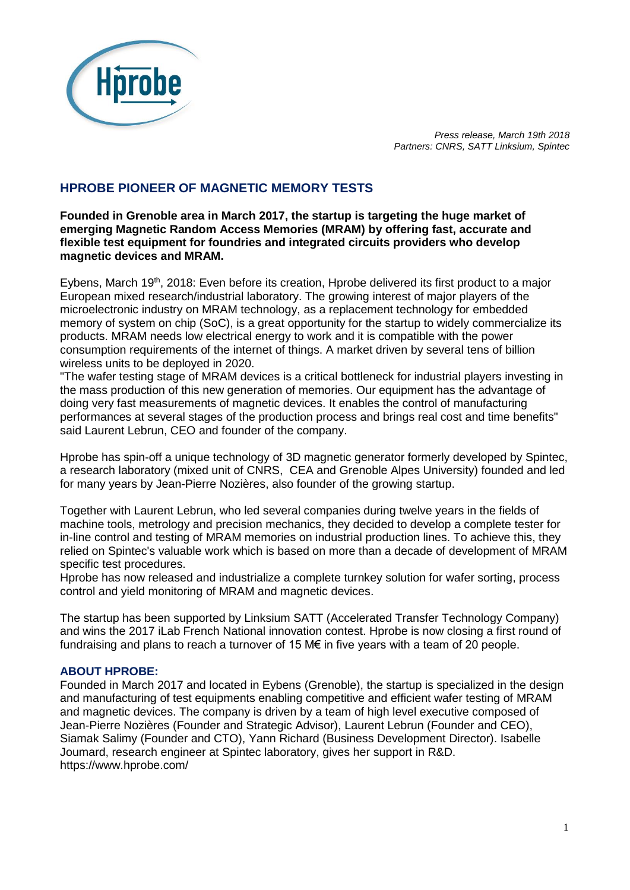

*Press release, March 19th 2018 Partners: CNRS, SATT Linksium, Spintec* 

# **HPROBE PIONEER OF MAGNETIC MEMORY TESTS**

**Founded in Grenoble area in March 2017, the startup is targeting the huge market of emerging Magnetic Random Access Memories (MRAM) by offering fast, accurate and flexible test equipment for foundries and integrated circuits providers who develop magnetic devices and MRAM.**

Eybens, March 19<sup>th</sup>, 2018: Even before its creation, Hprobe delivered its first product to a major European mixed research/industrial laboratory. The growing interest of major players of the microelectronic industry on MRAM technology, as a replacement technology for embedded memory of system on chip (SoC), is a great opportunity for the startup to widely commercialize its products. MRAM needs low electrical energy to work and it is compatible with the power consumption requirements of the internet of things. A market driven by several tens of billion wireless units to be deployed in 2020.

"The wafer testing stage of MRAM devices is a critical bottleneck for industrial players investing in the mass production of this new generation of memories. Our equipment has the advantage of doing very fast measurements of magnetic devices. It enables the control of manufacturing performances at several stages of the production process and brings real cost and time benefits" said Laurent Lebrun, CEO and founder of the company.

Hprobe has spin-off a unique technology of 3D magnetic generator formerly developed by Spintec, a research laboratory (mixed unit of CNRS, CEA and Grenoble Alpes University) founded and led for many years by Jean-Pierre Nozières, also founder of the growing startup.

Together with Laurent Lebrun, who led several companies during twelve years in the fields of machine tools, metrology and precision mechanics, they decided to develop a complete tester for in-line control and testing of MRAM memories on industrial production lines. To achieve this, they relied on Spintec's valuable work which is based on more than a decade of development of MRAM specific test procedures.

Hprobe has now released and industrialize a complete turnkey solution for wafer sorting, process control and yield monitoring of MRAM and magnetic devices.

The startup has been supported by Linksium SATT (Accelerated Transfer Technology Company) and wins the 2017 iLab French National innovation contest. Hprobe is now closing a first round of fundraising and plans to reach a turnover of 15 M€ in five years with a team of 20 people.

# **ABOUT HPROBE:**

Founded in March 2017 and located in Eybens (Grenoble), the startup is specialized in the design and manufacturing of test equipments enabling competitive and efficient wafer testing of MRAM and magnetic devices. The company is driven by a team of high level executive composed of Jean-Pierre Nozières (Founder and Strategic Advisor), Laurent Lebrun (Founder and CEO), Siamak Salimy (Founder and CTO), Yann Richard (Business Development Director). Isabelle Joumard, research engineer at Spintec laboratory, gives her support in R&D. https://www.hprobe.com/